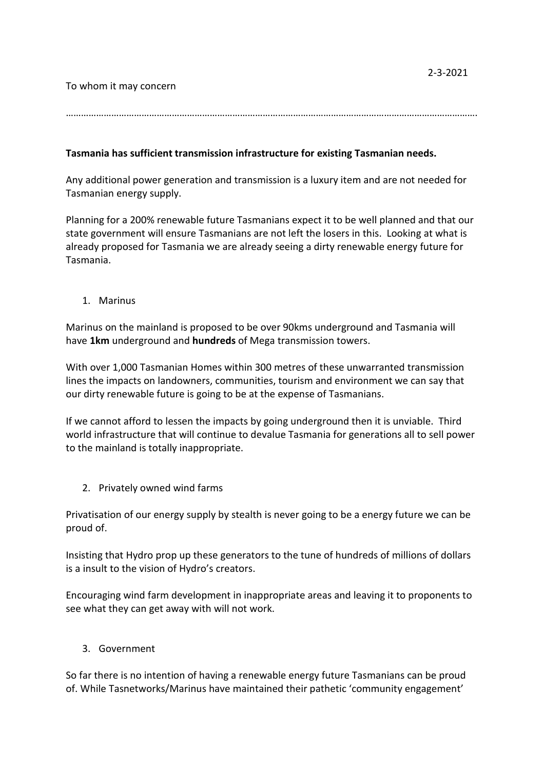To whom it may concern

……………………………………………………………………………………………………………………………………………….

## **Tasmania has sufficient transmission infrastructure for existing Tasmanian needs.**

Any additional power generation and transmission is a luxury item and are not needed for Tasmanian energy supply.

Planning for a 200% renewable future Tasmanians expect it to be well planned and that our state government will ensure Tasmanians are not left the losers in this. Looking at what is already proposed for Tasmania we are already seeing a dirty renewable energy future for Tasmania.

1. Marinus

Marinus on the mainland is proposed to be over 90kms underground and Tasmania will have **1km** underground and **hundreds** of Mega transmission towers.

With over 1,000 Tasmanian Homes within 300 metres of these unwarranted transmission lines the impacts on landowners, communities, tourism and environment we can say that our dirty renewable future is going to be at the expense of Tasmanians.

If we cannot afford to lessen the impacts by going underground then it is unviable. Third world infrastructure that will continue to devalue Tasmania for generations all to sell power to the mainland is totally inappropriate.

2. Privately owned wind farms

Privatisation of our energy supply by stealth is never going to be a energy future we can be proud of.

Insisting that Hydro prop up these generators to the tune of hundreds of millions of dollars is a insult to the vision of Hydro's creators.

Encouraging wind farm development in inappropriate areas and leaving it to proponents to see what they can get away with will not work.

## 3. Government

So far there is no intention of having a renewable energy future Tasmanians can be proud of. While Tasnetworks/Marinus have maintained their pathetic 'community engagement'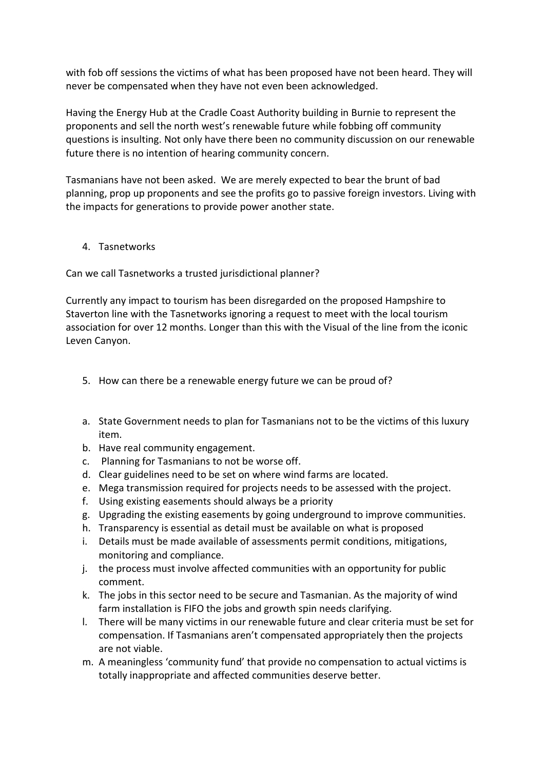with fob off sessions the victims of what has been proposed have not been heard. They will never be compensated when they have not even been acknowledged.

Having the Energy Hub at the Cradle Coast Authority building in Burnie to represent the proponents and sell the north west's renewable future while fobbing off community questions is insulting. Not only have there been no community discussion on our renewable future there is no intention of hearing community concern.

Tasmanians have not been asked. We are merely expected to bear the brunt of bad planning, prop up proponents and see the profits go to passive foreign investors. Living with the impacts for generations to provide power another state.

## 4. Tasnetworks

Can we call Tasnetworks a trusted jurisdictional planner?

Currently any impact to tourism has been disregarded on the proposed Hampshire to Staverton line with the Tasnetworks ignoring a request to meet with the local tourism association for over 12 months. Longer than this with the Visual of the line from the iconic Leven Canyon.

- 5. How can there be a renewable energy future we can be proud of?
- a. State Government needs to plan for Tasmanians not to be the victims of this luxury item.
- b. Have real community engagement.
- c. Planning for Tasmanians to not be worse off.
- d. Clear guidelines need to be set on where wind farms are located.
- e. Mega transmission required for projects needs to be assessed with the project.
- f. Using existing easements should always be a priority
- g. Upgrading the existing easements by going underground to improve communities.
- h. Transparency is essential as detail must be available on what is proposed
- i. Details must be made available of assessments permit conditions, mitigations, monitoring and compliance.
- j. the process must involve affected communities with an opportunity for public comment.
- k. The jobs in this sector need to be secure and Tasmanian. As the majority of wind farm installation is FIFO the jobs and growth spin needs clarifying.
- l. There will be many victims in our renewable future and clear criteria must be set for compensation. If Tasmanians aren't compensated appropriately then the projects are not viable.
- m. A meaningless 'community fund' that provide no compensation to actual victims is totally inappropriate and affected communities deserve better.